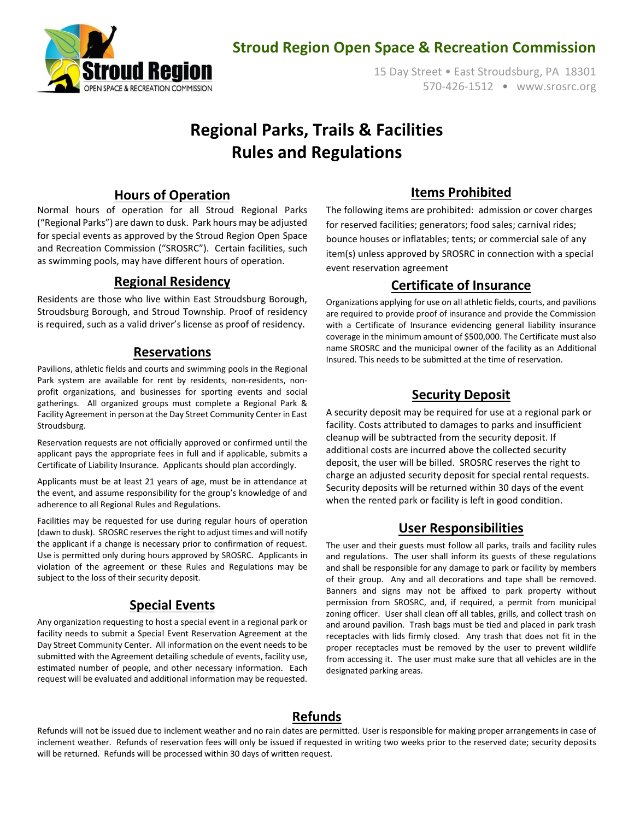

# **Stroud Region Open Space & Recreation Commission**

15 Day Street • East Stroudsburg, PA 18301 570-426-1512 • www.srosrc.org

# **Regional Parks, Trails & Facilities Rules and Regulations**

#### **Hours of Operation**

Normal hours of operation for all Stroud Regional Parks ("Regional Parks") are dawn to dusk. Park hours may be adjusted for special events as approved by the Stroud Region Open Space and Recreation Commission ("SROSRC"). Certain facilities, such as swimming pools, may have different hours of operation.

#### **Regional Residency**

Residents are those who live within East Stroudsburg Borough, Stroudsburg Borough, and Stroud Township. Proof of residency is required, such as a valid driver's license as proof of residency.

#### **Reservations**

Pavilions, athletic fields and courts and swimming pools in the Regional Park system are available for rent by residents, non-residents, nonprofit organizations, and businesses for sporting events and social gatherings. All organized groups must complete a Regional Park & Facility Agreement in person at the Day Street Community Center in East Stroudsburg.

Reservation requests are not officially approved or confirmed until the applicant pays the appropriate fees in full and if applicable, submits a Certificate of Liability Insurance. Applicants should plan accordingly.

Applicants must be at least 21 years of age, must be in attendance at the event, and assume responsibility for the group's knowledge of and adherence to all Regional Rules and Regulations.

Facilities may be requested for use during regular hours of operation (dawn to dusk). SROSRC reserves the right to adjust times and will notify the applicant if a change is necessary prior to confirmation of request. Use is permitted only during hours approved by SROSRC. Applicants in violation of the agreement or these Rules and Regulations may be subject to the loss of their security deposit.

## **Special Events**

Any organization requesting to host a special event in a regional park or facility needs to submit a Special Event Reservation Agreement at the Day Street Community Center. All information on the event needs to be submitted with the Agreement detailing schedule of events, facility use, estimated number of people, and other necessary information. Each request will be evaluated and additional information may be requested.

### **Items Prohibited**

The following items are prohibited: admission or cover charges for reserved facilities; generators; food sales; carnival rides; bounce houses or inflatables; tents; or commercial sale of any item(s) unless approved by SROSRC in connection with a special event reservation agreement

#### **Certificate of Insurance**

Organizations applying for use on all athletic fields, courts, and pavilions are required to provide proof of insurance and provide the Commission with a Certificate of Insurance evidencing general liability insurance coverage in the minimum amount of \$500,000. The Certificate must also name SROSRC and the municipal owner of the facility as an Additional Insured. This needs to be submitted at the time of reservation.

### **Security Deposit**

A security deposit may be required for use at a regional park or facility. Costs attributed to damages to parks and insufficient cleanup will be subtracted from the security deposit. If additional costs are incurred above the collected security deposit, the user will be billed. SROSRC reserves the right to charge an adjusted security deposit for special rental requests. Security deposits will be returned within 30 days of the event when the rented park or facility is left in good condition.

#### **User Responsibilities**

The user and their guests must follow all parks, trails and facility rules and regulations. The user shall inform its guests of these regulations and shall be responsible for any damage to park or facility by members of their group. Any and all decorations and tape shall be removed. Banners and signs may not be affixed to park property without permission from SROSRC, and, if required, a permit from municipal zoning officer. User shall clean off all tables, grills, and collect trash on and around pavilion. Trash bags must be tied and placed in park trash receptacles with lids firmly closed. Any trash that does not fit in the proper receptacles must be removed by the user to prevent wildlife from accessing it. The user must make sure that all vehicles are in the designated parking areas.

# **Refunds**

Refunds will not be issued due to inclement weather and no rain dates are permitted. User is responsible for making proper arrangements in case of inclement weather. Refunds of reservation fees will only be issued if requested in writing two weeks prior to the reserved date; security deposits will be returned. Refunds will be processed within 30 days of written request.